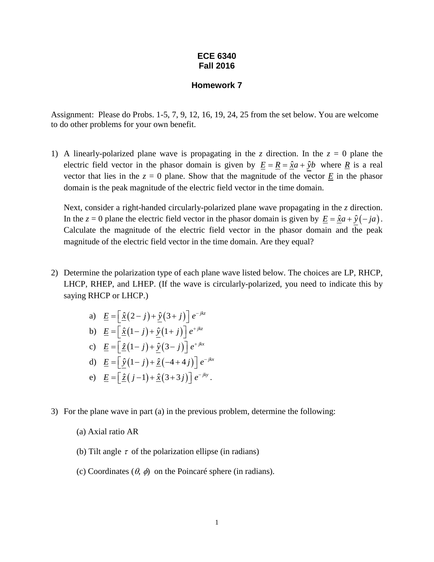## **ECE 6340 Fall 2016**

## **Homework 7**

Assignment: Please do Probs. 1-5, 7, 9, 12, 16, 19, 24, 25 from the set below. You are welcome to do other problems for your own benefit.

1) A linearly-polarized plane wave is propagating in the *z* direction. In the  $z = 0$  plane the electric field vector in the phasor domain is given by  $\underline{E} = \underline{R} = \hat{x}a + \hat{y}b$  where  $\underline{R}$  is a real vector that lies in the  $z = 0$  plane. Show that the magnitude of the vector  $\underline{E}$  in the phasor domain is the peak magnitude of the electric field vector in the time domain.

Next, consider a right-handed circularly-polarized plane wave propagating in the *z* direction. In the *z* = 0 plane the electric field vector in the phasor domain is given by  $\underline{E} = \hat{x}a + \hat{y}(-ja)$ . Calculate the magnitude of the electric field vector in the phasor domain and the peak magnitude of the electric field vector in the time domain. Are they equal?

- 2) Determine the polarization type of each plane wave listed below. The choices are LP, RHCP, LHCP, RHEP, and LHEP. (If the wave is circularly-polarized, you need to indicate this by saying RHCP or LHCP.)
	- a)  $\underline{E} = \left[ \hat{\underline{x}} (2 j) + \hat{\underline{y}} (3 + j) \right] e^{-jkz}$ b)  $\underline{E} = \left[ \hat{\underline{x}} (1 - j) + \hat{y} (1 + j) \right] e^{+jkz}$ c)  $\underline{E} = \left[ \frac{\hat{z}}{2} (1 - j) + \hat{y} (3 - j) \right] e^{+jkx}$ d)  $\underline{E} = \left[ \hat{y} (1 - j) + \hat{z} (-4 + 4j) \right] e^{-jkx}$ e)  $\underline{E} = \left[ \hat{\underline{z}} (j-1) + \hat{\underline{x}} (3+3j) \right] e^{-jky}$ .
- 3) For the plane wave in part (a) in the previous problem, determine the following:
	- (a) Axial ratio AR
	- (b) Tilt angle  $\tau$  of the polarization ellipse (in radians)
	- (c) Coordinates  $(\theta, \phi)$  on the Poincaré sphere (in radians).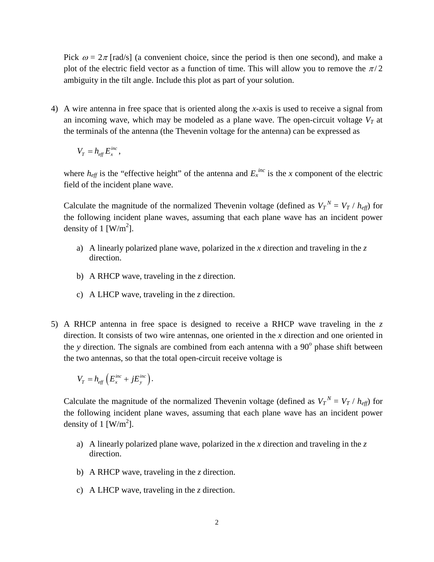Pick  $\omega = 2\pi$  [rad/s] (a convenient choice, since the period is then one second), and make a plot of the electric field vector as a function of time. This will allow you to remove the  $\pi/2$ ambiguity in the tilt angle. Include this plot as part of your solution.

4) A wire antenna in free space that is oriented along the *x-*axis is used to receive a signal from an incoming wave, which may be modeled as a plane wave. The open-circuit voltage  $V<sub>T</sub>$  at the terminals of the antenna (the Thevenin voltage for the antenna) can be expressed as

$$
V_T = h_{\text{eff}} E_x^{\text{inc}},
$$

where  $h_{\text{eff}}$  is the "effective height" of the antenna and  $E_x^{\text{inc}}$  is the *x* component of the electric field of the incident plane wave.

Calculate the magnitude of the normalized Thevenin voltage (defined as  $V_T^N = V_T / h_{\text{eff}}$ ) for the following incident plane waves, assuming that each plane wave has an incident power density of 1 [W/m<sup>2</sup>].

- a) A linearly polarized plane wave, polarized in the *x* direction and traveling in the *z* direction.
- b) A RHCP wave, traveling in the *z* direction.
- c) A LHCP wave, traveling in the *z* direction.
- 5) A RHCP antenna in free space is designed to receive a RHCP wave traveling in the *z* direction. It consists of two wire antennas, one oriented in the *x* direction and one oriented in the *y* direction. The signals are combined from each antenna with a  $90^\circ$  phase shift between the two antennas, so that the total open-circuit receive voltage is

$$
V_T = h_{\text{eff}} \left( E_x^{\text{inc}} + j E_y^{\text{inc}} \right).
$$

Calculate the magnitude of the normalized Thevenin voltage (defined as  $V_T^N = V_T / h_{\text{eff}}$ ) for the following incident plane waves, assuming that each plane wave has an incident power density of 1 [W/m<sup>2</sup>].

- a) A linearly polarized plane wave, polarized in the *x* direction and traveling in the *z* direction.
- b) A RHCP wave, traveling in the *z* direction.
- c) A LHCP wave, traveling in the *z* direction.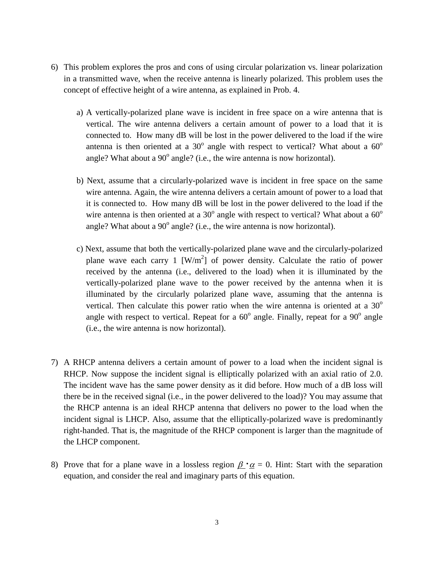- 6) This problem explores the pros and cons of using circular polarization vs. linear polarization in a transmitted wave, when the receive antenna is linearly polarized. This problem uses the concept of effective height of a wire antenna, as explained in Prob. 4.
	- a) A vertically-polarized plane wave is incident in free space on a wire antenna that is vertical. The wire antenna delivers a certain amount of power to a load that it is connected to. How many dB will be lost in the power delivered to the load if the wire antenna is then oriented at a  $30^{\circ}$  angle with respect to vertical? What about a  $60^{\circ}$ angle? What about a  $90^{\circ}$  angle? (i.e., the wire antenna is now horizontal).
	- b) Next, assume that a circularly-polarized wave is incident in free space on the same wire antenna. Again, the wire antenna delivers a certain amount of power to a load that it is connected to. How many dB will be lost in the power delivered to the load if the wire antenna is then oriented at a  $30^{\circ}$  angle with respect to vertical? What about a  $60^{\circ}$ angle? What about a  $90^{\circ}$  angle? (i.e., the wire antenna is now horizontal).
	- c) Next, assume that both the vertically-polarized plane wave and the circularly-polarized plane wave each carry 1  $[W/m^2]$  of power density. Calculate the ratio of power received by the antenna (i.e., delivered to the load) when it is illuminated by the vertically-polarized plane wave to the power received by the antenna when it is illuminated by the circularly polarized plane wave, assuming that the antenna is vertical. Then calculate this power ratio when the wire antenna is oriented at a  $30^{\circ}$ angle with respect to vertical. Repeat for a  $60^{\circ}$  angle. Finally, repeat for a  $90^{\circ}$  angle (i.e., the wire antenna is now horizontal).
- 7) A RHCP antenna delivers a certain amount of power to a load when the incident signal is RHCP. Now suppose the incident signal is elliptically polarized with an axial ratio of 2.0. The incident wave has the same power density as it did before. How much of a dB loss will there be in the received signal (i.e., in the power delivered to the load)? You may assume that the RHCP antenna is an ideal RHCP antenna that delivers no power to the load when the incident signal is LHCP. Also, assume that the elliptically-polarized wave is predominantly right-handed. That is, the magnitude of the RHCP component is larger than the magnitude of the LHCP component.
- 8) Prove that for a plane wave in a lossless region  $\beta \cdot \alpha = 0$ . Hint: Start with the separation equation, and consider the real and imaginary parts of this equation.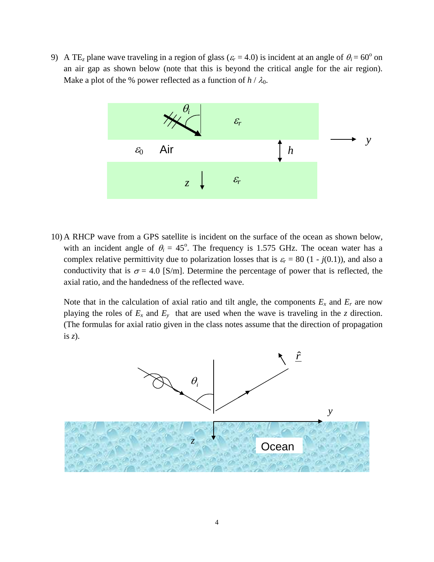9) A TE<sub>z</sub> plane wave traveling in a region of glass ( $\varepsilon_r$  = 4.0) is incident at an angle of  $\theta_i$  = 60<sup>o</sup> on an air gap as shown below (note that this is beyond the critical angle for the air region). Make a plot of the % power reflected as a function of  $h / \lambda_0$ .



10) A RHCP wave from a GPS satellite is incident on the surface of the ocean as shown below, with an incident angle of  $\theta_i = 45^\circ$ . The frequency is 1.575 GHz. The ocean water has a complex relative permittivity due to polarization losses that is  $\varepsilon_r = 80$  (1 - *j*(0.1)), and also a conductivity that is  $\sigma = 4.0$  [S/m]. Determine the percentage of power that is reflected, the axial ratio, and the handedness of the reflected wave.

Note that in the calculation of axial ratio and tilt angle, the components  $E_x$  and  $E_r$  are now playing the roles of  $E_x$  and  $E_y$  that are used when the wave is traveling in the *z* direction. (The formulas for axial ratio given in the class notes assume that the direction of propagation is *z*).

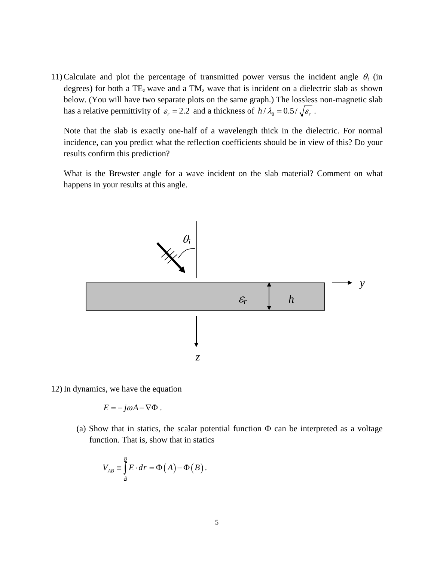11) Calculate and plot the percentage of transmitted power versus the incident angle θ*<sup>i</sup>* (in degrees) for both a TE*<sup>z</sup>* wave and a TM*<sup>z</sup>* wave that is incident on a dielectric slab as shown below. (You will have two separate plots on the same graph.) The lossless non-magnetic slab has a relative permittivity of  $\varepsilon_r = 2.2$  and a thickness of  $h / \lambda_0 = 0.5 / \sqrt{\varepsilon_r}$ .

Note that the slab is exactly one-half of a wavelength thick in the dielectric. For normal incidence, can you predict what the reflection coefficients should be in view of this? Do your results confirm this prediction?

What is the Brewster angle for a wave incident on the slab material? Comment on what happens in your results at this angle.



12) In dynamics, we have the equation

$$
\underline{E} = -j\omega \underline{A} - \nabla \Phi.
$$

(a) Show that in statics, the scalar potential function  $\Phi$  can be interpreted as a voltage function. That is, show that in statics

$$
V_{AB} \equiv \int_{\underline{A}}^{\underline{B}} \underline{E} \cdot d\underline{r} = \Phi(\underline{A}) - \Phi(\underline{B}).
$$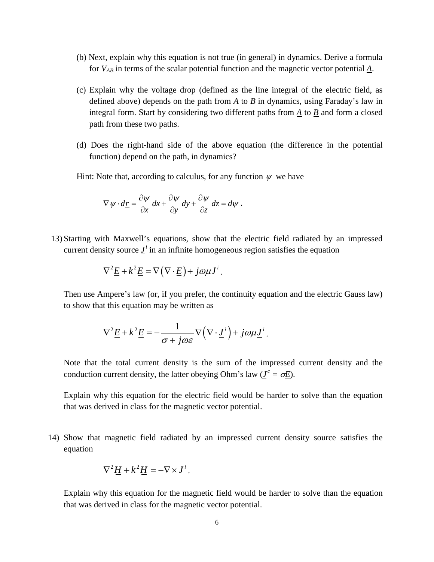- (b) Next, explain why this equation is not true (in general) in dynamics. Derive a formula for *VAB* in terms of the scalar potential function and the magnetic vector potential *A*.
- (c) Explain why the voltage drop (defined as the line integral of the electric field, as defined above) depends on the path from  $\underline{A}$  to  $\underline{B}$  in dynamics, using Faraday's law in integral form. Start by considering two different paths from *A* to *B* and form a closed path from these two paths.
- (d) Does the right-hand side of the above equation (the difference in the potential function) depend on the path, in dynamics?

Hint: Note that, according to calculus, for any function  $\psi$  we have

$$
\nabla \psi \cdot d\underline{r} = \frac{\partial \psi}{\partial x} dx + \frac{\partial \psi}{\partial y} dy + \frac{\partial \psi}{\partial z} dz = d\psi.
$$

13) Starting with Maxwell's equations, show that the electric field radiated by an impressed current density source  $I^i$  in an infinite homogeneous region satisfies the equation

$$
\nabla^2 \underline{E} + k^2 \underline{E} = \nabla (\nabla \cdot \underline{E}) + j \omega \mu \underline{J}^i.
$$

Then use Ampere's law (or, if you prefer, the continuity equation and the electric Gauss law) to show that this equation may be written as

$$
\nabla^2 \underline{E} + k^2 \underline{E} = -\frac{1}{\sigma + j\omega \varepsilon} \nabla (\nabla \cdot \underline{J}^i) + j\omega \mu \underline{J}^i.
$$

Note that the total current density is the sum of the impressed current density and the conduction current density, the latter obeying Ohm's law ( $J^c = \sigma E$ ).

Explain why this equation for the electric field would be harder to solve than the equation that was derived in class for the magnetic vector potential.

14) Show that magnetic field radiated by an impressed current density source satisfies the equation

$$
\nabla^2 \underline{H} + k^2 \underline{H} = -\nabla \times \underline{J}^i.
$$

Explain why this equation for the magnetic field would be harder to solve than the equation that was derived in class for the magnetic vector potential.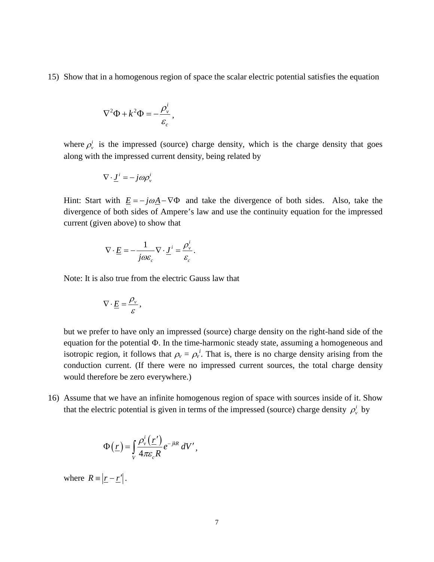15) Show that in a homogenous region of space the scalar electric potential satisfies the equation

$$
\nabla^2 \Phi + k^2 \Phi = -\frac{\rho_v^i}{\varepsilon_c},
$$

where  $\rho_v^i$  is the impressed (source) charge density, which is the charge density that goes along with the impressed current density, being related by

$$
\nabla \cdot \underline{J}^i = -j\omega \rho_v^i
$$

Hint: Start with  $\underline{E} = -j\omega \underline{A} - \nabla \Phi$  and take the divergence of both sides. Also, take the divergence of both sides of Ampere's law and use the continuity equation for the impressed current (given above) to show that

$$
\nabla \cdot \underline{E} = -\frac{1}{j\omega \varepsilon_c} \nabla \cdot \underline{J}^i = \frac{\rho_v^i}{\varepsilon_c}.
$$

Note: It is also true from the electric Gauss law that

$$
\nabla \cdot \underline{E} = \frac{\rho_v}{\varepsilon},
$$

but we prefer to have only an impressed (source) charge density on the right-hand side of the equation for the potential Φ. In the time-harmonic steady state, assuming a homogeneous and isotropic region, it follows that  $\rho_v = \rho_v^i$ . That is, there is no charge density arising from the conduction current. (If there were no impressed current sources, the total charge density would therefore be zero everywhere.)

16) Assume that we have an infinite homogenous region of space with sources inside of it. Show that the electric potential is given in terms of the impressed (source) charge density  $\rho_v^i$  by

$$
\Phi(\underline{r}) = \int_{V} \frac{\rho_{v}^{i}(\underline{r}')}{4\pi \varepsilon_{c} R} e^{-j k R} dV',
$$

where  $R = |r - r'|$ .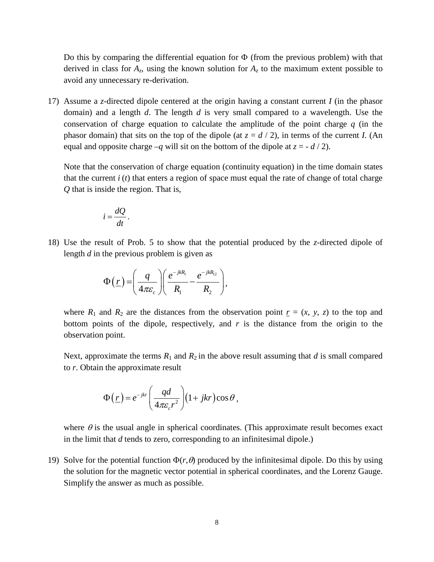Do this by comparing the differential equation for  $\Phi$  (from the previous problem) with that derived in class for  $A_z$ , using the known solution for  $A_z$  to the maximum extent possible to avoid any unnecessary re-derivation.

17) Assume a *z*-directed dipole centered at the origin having a constant current *I* (in the phasor domain) and a length *d*. The length *d* is very small compared to a wavelength. Use the conservation of charge equation to calculate the amplitude of the point charge *q* (in the phasor domain) that sits on the top of the dipole (at  $z = d/2$ ), in terms of the current *I*. (An equal and opposite charge  $-q$  will sit on the bottom of the dipole at  $z = -d/2$ .

Note that the conservation of charge equation (continuity equation) in the time domain states that the current *i* (*t*) that enters a region of space must equal the rate of change of total charge *Q* that is inside the region. That is,

$$
i=\frac{dQ}{dt}.
$$

18) Use the result of Prob. 5 to show that the potential produced by the *z*-directed dipole of length *d* in the previous problem is given as

$$
\Phi(\underline{r}) = \left(\frac{q}{4\pi\varepsilon_c}\right) \left(\frac{e^{-jkR_1}}{R_1} - \frac{e^{-jkR_{12}}}{R_2}\right),
$$

where  $R_1$  and  $R_2$  are the distances from the observation point  $r = (x, y, z)$  to the top and bottom points of the dipole, respectively, and  $r$  is the distance from the origin to the observation point.

Next, approximate the terms  $R_1$  and  $R_2$  in the above result assuming that *d* is small compared to *r*. Obtain the approximate result

$$
\Phi(\underline{r}) = e^{-jkr} \left( \frac{qd}{4\pi \varepsilon_c r^2} \right) (1 + jkr) \cos \theta,
$$

where  $\theta$  is the usual angle in spherical coordinates. (This approximate result becomes exact in the limit that *d* tends to zero, corresponding to an infinitesimal dipole.)

19) Solve for the potential function  $\Phi(r,\theta)$  produced by the infinitesimal dipole. Do this by using the solution for the magnetic vector potential in spherical coordinates, and the Lorenz Gauge. Simplify the answer as much as possible.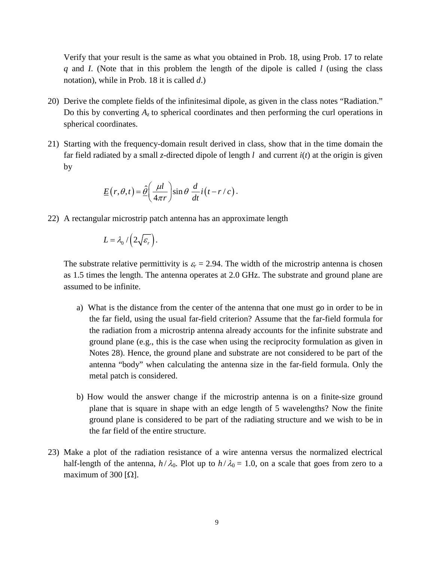Verify that your result is the same as what you obtained in Prob. 18, using Prob. 17 to relate *q* and *I*. (Note that in this problem the length of the dipole is called *l* (using the class notation), while in Prob. 18 it is called *d*.)

- 20) Derive the complete fields of the infinitesimal dipole, as given in the class notes "Radiation." Do this by converting  $A<sub>z</sub>$  to spherical coordinates and then performing the curl operations in spherical coordinates.
- 21) Starting with the frequency-domain result derived in class, show that in the time domain the far field radiated by a small *z*-directed dipole of length *l* and current *i*(*t*) at the origin is given by

$$
\underline{E}(r,\theta,t) = \underline{\hat{\theta}}\bigg(\frac{\mu l}{4\pi r}\bigg)\sin\theta\,\frac{d}{dt}i\big(t-r/c\big).
$$

22) A rectangular microstrip patch antenna has an approximate length

$$
L = \lambda_0 / (2 \sqrt{\varepsilon_r}).
$$

The substrate relative permittivity is  $\varepsilon_r = 2.94$ . The width of the microstrip antenna is chosen as 1.5 times the length. The antenna operates at 2.0 GHz. The substrate and ground plane are assumed to be infinite.

- a) What is the distance from the center of the antenna that one must go in order to be in the far field, using the usual far-field criterion? Assume that the far-field formula for the radiation from a microstrip antenna already accounts for the infinite substrate and ground plane (e.g., this is the case when using the reciprocity formulation as given in Notes 28). Hence, the ground plane and substrate are not considered to be part of the antenna "body" when calculating the antenna size in the far-field formula. Only the metal patch is considered.
- b) How would the answer change if the microstrip antenna is on a finite-size ground plane that is square in shape with an edge length of 5 wavelengths? Now the finite ground plane is considered to be part of the radiating structure and we wish to be in the far field of the entire structure.
- 23) Make a plot of the radiation resistance of a wire antenna versus the normalized electrical half-length of the antenna,  $h/\lambda_0$ . Plot up to  $h/\lambda_0 = 1.0$ , on a scale that goes from zero to a maximum of 300 [ $\Omega$ ].